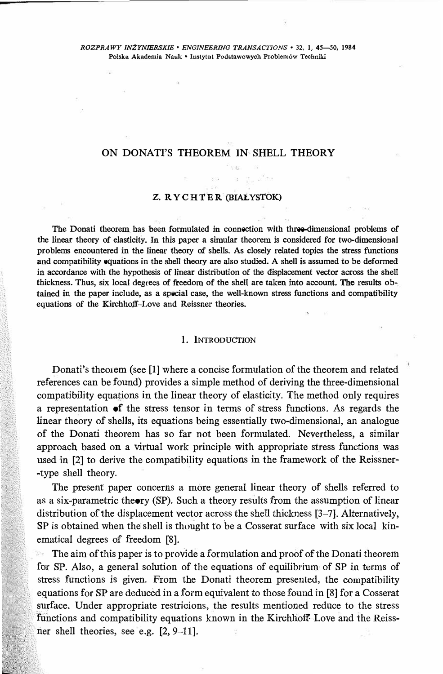# ON DONATI'S THEOREM IN SHELL THEORY

### **Z. RYCHTER (BIAŁYSTOK)**

**The Donati theorem has been formulated in connection with three-climensional problems of the linear theory of elasticity. In this paper a simular theorem is considered for two-dimensional problems encountered in the linear theory of shells. As closely related topics the stress functions and compatibility equations in the shell theory are also studied. A shell is assumed to be deformed in accordance with the hypothesis of linear distribution of the displacement vector across the shell**  thickness. Thus, six local degrees of freedom of the shell are taken into account. The results ob**tained in the paper include, as a special case, the well-known stress functions and compatibility equations of the Kirchhoff-Love and Reissner theories.** 

#### **]. lNrRODUCTION**

Donati's theorem (see [!] where a concise formulation of the theorem and related references can be found) provides a simple method of deriving the three-dimensional compatibility equations in the Iinear theory of elasticity. The method only requires a representation of the stress tensor in terms of stress functions. As regards the Iinear theory of shells, its equations being essentially two-dimensional, an analogue of the Donati theorem has so far not been formulated. Nevertheless, a similar approach based on a virtual work principle with appropriate stress functions was used in [2] to derive the compatibility equations in the framework of the Reissner •type shell theory.

The present paper concerns a more generał linear theory of shells referred to as a six-parametric theory (SP). Such a theory results from the assumption of linear distribution of the displacement vector across the shell thickness [3-7]. Alternatively,  $SP$  is obtained when the shell is thought to be a Cosserat surface with six local kinematical degrees of freedom [8].

The aim of this paper is to provide a formulation and proof of the Donati theorem for SP. Also, a generał solution of the equations of equilibrium of SP in terms of stress functions is given. From the Donati theorem presented, the compatibility equations for SP are deduced in a form equivalent to those found in [8] for a Cosserat surface. Under appropriate restricions, the results mentioned reduce to the stress functions and compatibility equations known in the Kirchhoff-Love and the Reissner shell theories, see e.g. [2, 9-11].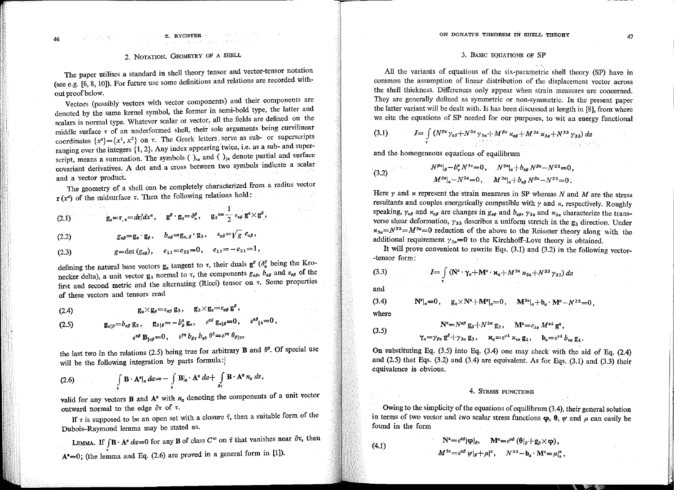### $\sim$  Z. RYCHTER

# 2. NOTATION. GEOMETRY OF A SHELL

The paper utilises a standard in shell theory tensor and vector-tensor notation (see e.g. [6, 8, 10]). For future use some definitions and relations are recorded without proof below.

Vectors (possibly vectors with vector components) and their components are denoted by the same kernel symbol, the former in semi-bold type, the latter and scalars is normal type. Whatever scalar or vector, all the fields are defined on the middle surface  $\tau$  of an underformed shell, their sole arguments being curvilinear coordinates  $\{x^{\alpha}\} = \{x^1, x^2\}$  on  $\tau$ . The Greek letters serve as sub- or superscripts ranging over the integers  $\{1, 2\}$ . Any index appearing twice, i.e. as a sub- and superscript, means a summation. The symbols ( $\int_{\alpha}$  and ( $\int_{\alpha}$  denote partial and surface covariant derivatives. A dot and a cross between two symbols indicate a scalar and a vector product.

The geometry of a shell can be completely characterized from a radius vector  $\mathbf{r}(x^{\alpha})$  of the midsurface  $\tau$ . Then the following relations hold:

(2.1) 
$$
g_{\alpha} = r_{,\alpha} = dr/dx^{\alpha}, \quad g^{\beta} \cdot g_{\alpha} = \delta^{\beta}_{\alpha}, \quad g_{3} = \frac{1}{2} \varepsilon_{\alpha\beta} g^{\alpha} \times g^{\beta},
$$

$$
(2.2) \t\t g_{\alpha\beta} = g_{\alpha} \cdot g_{\beta}, \t b_{\alpha\beta} = g_{\alpha,\beta} \cdot g_{3}, \t \epsilon_{\alpha\beta} = \psi g \cdot e_{\alpha\beta},
$$

defining the natural base vectors  $g_{\alpha}$  tangent to  $\tau$ , their duals  $g^{\beta}$  ( $\delta^{\beta}_{\alpha}$  being the Kronecker delta), a unit vector  $g_3$  normal to  $\tau$ , the components  $g_{\alpha\beta}$ ,  $b_{\alpha\beta}$  and  $\varepsilon_{\alpha\beta}$  of the first and second metric and the alternating (Ricci) tensor on  $\tau$ . Some properties of these vectors and tensors read

$$
(2.4) \t\t\t g_{\alpha} \times g_{\beta} = \varepsilon_{\alpha\beta} g_3, \t g_3 \times g_{\alpha} = \varepsilon_{\alpha\beta} g^{\mu},
$$

$$
\begin{aligned}\n\text{(2.5)} \qquad \qquad & \mathbf{g}_{\alpha\beta} = b_{\alpha\beta} \, \mathbf{g}_3 \,, \qquad & \mathbf{g}_{3\,|\beta} = -b^{\alpha}_{\beta} \, \mathbf{g}_{\alpha}, \qquad & \varepsilon^{\alpha\beta} \, \mathbf{g}_{\alpha\beta} = 0 \,, \qquad & \varepsilon^{\alpha\beta} \, \mathbf{g}_\alpha = 0 \,, \\
& \qquad & \varepsilon^{\alpha\beta} \, \mathbf{B}_{|\alpha\beta} = 0 \,, \qquad & \varepsilon^{\gamma\eta} \, b_{\beta\gamma} \, b_{\eta\delta} \, \theta^{\delta} = \varepsilon^{\gamma\eta} \, \theta_{\beta\,|\eta\gamma}\n\end{aligned}
$$

the last two in the relations (2.5) being true for arbitrary **B** and  $\theta^s$ . Of special use will be the following integration by parts formula:

(2.6) 
$$
\int_{\tau} \mathbf{B} \cdot \mathbf{A}^{\alpha} |_{\alpha} da = - \int_{\tau} \mathbf{B} |_{\alpha} \cdot \mathbf{A}^{\alpha} da + \int_{\delta \tau} \mathbf{B} \cdot \mathbf{A}^{\alpha} n_{\alpha} ds,
$$

valid for any vectors **B** and  $A^{\alpha}$  with  $n_{\alpha}$  denoting the components of a unit vector outward normal to the edge  $\partial \tau$  of  $\tau$ .

If  $\tau$  is supposed to be an open set with a closure  $\bar{\tau}$ , then a suitable form of the Dubois-Raymond lemma may be stated as.

LEMMA. If  $\int \mathbf{B} \cdot \mathbf{A}^{\alpha} da = 0$  for any **B** of class  $C^{\infty}$  on  $\bar{\tau}$  that vanishes near  $\partial \tau$ , then  $A^{\alpha}=0$ ; (the lemma and Eq. (2.6) are proved in a general form in [1]).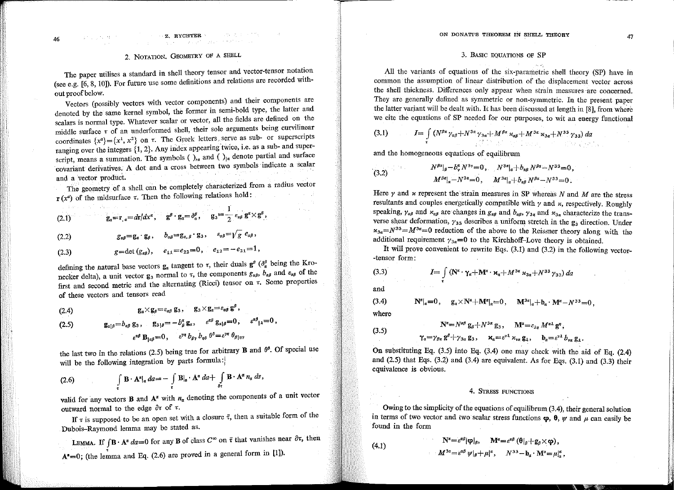### 3. BASIC EQUATIONS OF SP

All the variants of equations of the six-parametric shell theory (SP) have in common the assumption of linear distribution of the displacement vector across the shell thickness. Differences only appear when strain measures are concerned. They are generally defined as symmetric or non-symmetric. In the present paper the latter variant will be dealt with. It has been discussed at length in [8], from where we cite the equations of SP needed for our purposes, to wit an energy functional

(3.1) 
$$
I = \int_{\tau} (N^{\beta\alpha} \gamma_{\alpha\beta} + N^{3\alpha} \gamma_{3\alpha} + M^{\beta\alpha} \kappa_{\alpha\beta} + M^{3\alpha} \kappa_{3\alpha} + N^{33} \gamma_{33}) da
$$

and the homogeneous equations of equilibrum

(3.2) 
$$
N^{\beta\alpha}|_{\beta} - b^{\alpha}_{\nu} N^{3\nu} = 0, \qquad N^{3\alpha}|_{\alpha} + b_{\alpha\beta} N^{\beta\alpha} - N^{33} = 0, M^{\beta\alpha}|_{\alpha} - N^{3\alpha} = 0, \qquad M^{3\alpha}|_{\alpha} + b_{\alpha\beta} N^{\beta\alpha} - N^{33} = 0.
$$

Here  $\gamma$  and  $\kappa$  represent the strain measures in SP whereas N and M are the stress resultants and couples energetically compatible with  $\gamma$  and  $\kappa$ , respectively. Roughly speaking,  $\gamma_{\alpha\beta}$  and  $\varkappa_{\alpha\beta}$  are changes in  $g_{\alpha\beta}$  and  $b_{\alpha\beta}$ ,  $\gamma_{3\alpha}$  and  $\varkappa_{3\alpha}$  characterize the transverse shear deformation,  $\gamma_{33}$  describes a uniform stretch in the  $g_3$  direction. Under  $\kappa_{3a} = N^{33} = M^{3a} = 0$  reduction of the above to the Reissner theory along with the additional requirement  $\gamma_{3\alpha}=0$  to the Kirchhoff-Love theory is obtained.

It will prove convenient to rewrite Eqs.  $(3.1)$  and  $(3.2)$  in the following vector--tensor form:

(3.3) 
$$
I = \int\limits_{\tau} (\mathbf{N}^{\alpha} \cdot \mathbf{\gamma}_{\alpha} + \mathbf{M}^{\alpha} \cdot \mathbf{x}_{\alpha} + M^{3\alpha} \times_{3\alpha} + N^{33} \gamma_{33}) da
$$

and

 $\mathbf{N}^{\alpha}|_{\alpha}=0$ ,  $\mathbf{g}_{\alpha}\times\mathbf{N}^{\alpha}+\mathbf{M}^{\alpha}|_{\alpha}=0$ ,  $\mathbf{M}^{3\alpha}|_{\alpha}+b_{\alpha}\cdot\mathbf{M}^{\alpha}-N^{33}=0$ ,  $(3.4)$ 

where

$$
\mathbf{N}^{\alpha} = N^{\alpha\beta} \mathbf{g}_{\beta} + N^{3\alpha} \mathbf{g}_{3}, \quad \mathbf{M}^{\alpha} = \varepsilon_{\lambda\eta} M^{\alpha\lambda} \mathbf{g}^{\eta},
$$
\n(3.5)

$$
\gamma_{\alpha} = \gamma_{\beta\alpha} g^{\beta} + \gamma_{3\alpha} g_3, \quad \kappa_{\alpha} = \varepsilon^{\nu\lambda} \kappa_{\nu\alpha} g_\lambda, \quad b_{\alpha} = \varepsilon^{\nu\lambda} b_{\nu\alpha} g_\lambda.
$$

On substituting Eq.  $(3.5)$  into Eq.  $(3.4)$  one may check with the aid of Eq.  $(2.4)$ and  $(2.5)$  that Eqs.  $(3.2)$  and  $(3.4)$  are equivalent. As for Eqs.  $(3.1)$  and  $(3.3)$  their equivalence is obvious.

## 4. STRESS FUNCTIONS

Owing to the simplicity of the equations of equilibrum (3.4), their general solution in terms of two vector and two scalar stress functions  $\varphi$ ,  $\theta$ ,  $\psi$  and  $\mu$  can easily be found in the form

(4.1) 
$$
\mathbf{N}^{\alpha} = \varepsilon^{\alpha \beta} |\mathbf{\varphi}|_{\beta}, \quad \mathbf{M}^{\alpha} = \varepsilon^{\alpha \beta} (\mathbf{\theta}|_{\beta} + \mathbf{g}_{\beta} \times \mathbf{\varphi}),
$$

$$
M^{3\alpha} = \varepsilon^{\alpha \beta} \psi|_{\beta} + \mu|^{\alpha}, \quad N^{33} - \mathbf{b}_{\alpha} \cdot \mathbf{M}^{\alpha} = \mu|_{\alpha}^{\alpha},
$$

47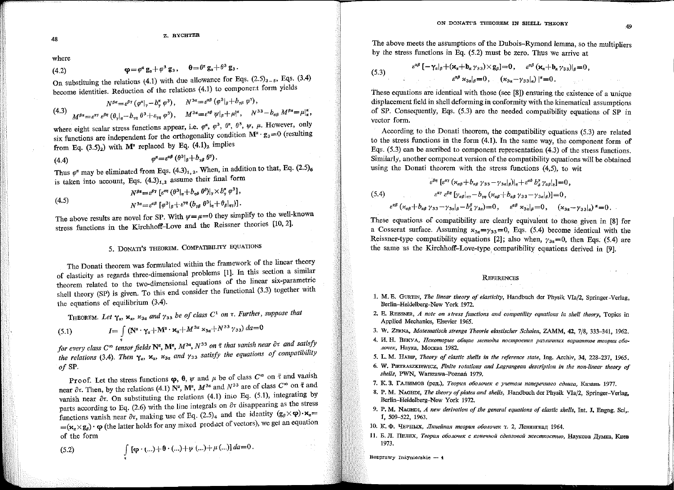where

(4.2) 
$$
\mathbf{\varphi} = \varphi^{\alpha} \mathbf{g}_{\alpha} + \varphi^{3} \mathbf{g}_{3}, \quad \mathbf{\theta} = \theta^{\alpha} \mathbf{g}_{\alpha} + \theta^{3} \mathbf{g}_{3}.
$$

On substituing the relations (4.1) with due allowance for Eqs.  $(2.5)_{3-5}$ , Eqs.  $(3.4)$ become identities. Reduction of the relations (4.1) to component form yields

$$
(4.3) \quad N^{\beta\alpha} = \varepsilon^{\beta\gamma} \left( \varphi^{\alpha} \middle|_{\gamma} - b^{\alpha}_{\gamma} \varphi^{\beta} \right), \qquad N^{\beta\alpha} = \varepsilon^{\alpha\beta} \left( \varphi^{\beta} \middle|_{\beta} + b_{\gamma\beta} \varphi^{\gamma} \right),
$$
\n
$$
(4.3) \quad M^{\beta\alpha} = \varepsilon^{\alpha\gamma} \varepsilon^{\beta\eta} \left( \theta_{\gamma} \middle|_{\eta} - b_{\gamma\eta} \vartheta^{\beta} + \varepsilon_{\gamma\eta} \varphi^{\beta} \right), \qquad M^{\beta\alpha} = \varepsilon^{\alpha\beta} \psi \middle|_{\beta} + \mu^{\alpha} \right), \qquad N^{\beta\beta} - b_{\alpha\beta} \, M^{\beta\alpha} = \mu^{\alpha}_{\alpha},
$$

where eight scalar stress functions appear, i.e.  $\varphi^{\alpha}$ ,  $\varphi^{\beta}$ ,  $\theta^{\gamma}$ ,  $\theta^{\beta}$ ,  $\psi$ ,  $\mu$ . However, only six functions are independent for the orthogonality condition  $M^{\alpha} \cdot g_3 = 0$  (resulting from Eq.  $(3.5)_2$ ) with  $M^{\alpha}$  replaced by Eq.  $(4.1)_2$  implies

Thus  $\varphi^{\alpha}$  may be eliminated from Eqs. (4.3)<sub>1, 2</sub>. When, in addition to that, Eq. (2.5)<sub>6</sub> is taken into account, Eqs.  $(4.3)_{1,2}$  assume their final form

$$
(4.5) \qquad N^{\beta\alpha} = \varepsilon^{\beta\gamma} \left[ \varepsilon^{\alpha\eta} \left( \theta^3 |_n + b_{n\delta} \theta^{\delta} \right) |_{\gamma} \times b_{\gamma}^{\alpha} \varphi^3 \right],
$$
\n
$$
N^{3\alpha} = \varepsilon^{\alpha\beta} \left[ \varphi^3 |_n + \varepsilon^{\gamma\eta} \left( b_{\gamma\beta} \theta^3 |_n + \theta_{\beta} |_{\eta\gamma} \right) \right].
$$

The above results are novel for SP. With  $\psi = \mu = 0$  they simplify to the well-known stress functions in the Kirchhoff-Love and the Reissner theories [10, 2].

# 5. DONATI'S THEOREM. COMPATIBILITY EQUATIONS

The Donati theorem was formulated within the framework of the linear theory of elasticity as regards three-dimensional problems [1]. In this section a similar theorem related to the two-dimensional equations of the linear six-parametric shell theory (SP) is given. To this end consider the functional (3.3) together with the equations of equilibrium (3.4).

THEOREM. Let  $\gamma_\alpha$ ,  $\kappa_\alpha$ ,  $\kappa_{3\alpha}$  and  $\gamma_{33}$  be of class  $C^1$  on  $\tau$ . Further, suppose that

(5.1) 
$$
I = \int\limits_{\tau} (\mathbf{N}^{\alpha} \cdot \gamma_{\alpha} + \mathbf{M}^{\alpha} \cdot \mathbf{x}_{\alpha} + M^{3\alpha} \cdot \mathbf{x}_{3\alpha} + N^{33} \gamma_{33}) da = 0
$$

for every class  $C^{\infty}$  tensor fields  $\mathbb{N}^{\alpha}$ ,  $\mathbb{M}^{\alpha}$ ,  $M^{3\alpha}$ ,  $N^{33}$  on  $\bar{\tau}$  that vanish near  $\partial \tau$  and satisfy the relations (3.4). Then  $\gamma_{\alpha}$ ,  $\kappa_{\alpha}$ ,  $\kappa_{3\alpha}$  and  $\gamma_{33}$  satisfy the equations of compatibility of SP.

Proof. Let the stress functions  $\varphi$ ,  $\theta$ ,  $\psi$  and  $\mu$  be of class  $C^{\infty}$  on  $\bar{\tau}$  and vanish near  $\partial \tau$ . Then, by the relations (4.1)  $\mathbb{N}^{\alpha}$ ,  $\mathbb{M}^{\alpha}$ ,  $M^{3\alpha}$  and  $N^{33}$  are of class  $C^{\infty}$  on  $\bar{\tau}$  and vanish near  $\partial \tau$ . On substituting the relations (4.1) into Eq. (5.1), integrating by parts according to Eq. (2.6) with the line integrals on  $\partial \tau$  disappearing as the stress functions vanish near  $\partial \tau$ , making use of Eq. (2.5)<sub>4</sub> and the identity  $(g_{\rho} \times \varphi) \cdot \mathbf{x}_{\alpha} =$  $=(x_{\alpha} \times g_{\beta}) \cdot \phi$  (the latter holds for any mixed product of vectors), we get an equation of the form

(5.2) 
$$
\int_{\mathbf{r}} [\mathbf{\varphi} \cdot (\ldots) + \mathbf{0} \cdot (\ldots) + \psi (\ldots) + \mu (\ldots)] d\mathbf{a} = 0.
$$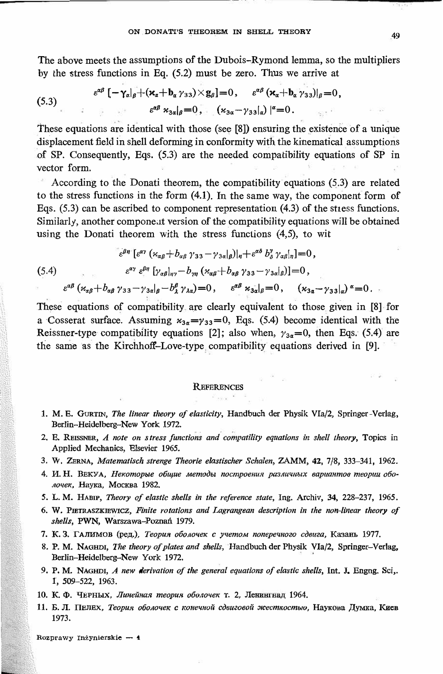The above meets the assumptions of the Dubois-Rymond lemma, so the multipliers by the stress functions in Eq. (5.2) must be zero. Thus we arrive at

(5.3) 
$$
\epsilon^{\alpha\beta} \left[ -\gamma_\alpha \middle|_{\beta} + (\varkappa_\alpha + b_\alpha \gamma_{33}) \times g_\beta \right] = 0, \quad \epsilon^{\alpha\beta} \left( \varkappa_\alpha + b_\alpha \gamma_{33} \right) \middle|_{\beta} = 0, \epsilon^{\alpha\beta} \left( \varkappa_{3\alpha} \middle|_{\beta} = 0 \right), \quad \epsilon^{\alpha\beta} \left( \varkappa_{3\alpha} - \gamma_{33} \middle|_{\alpha} \right) \middle|_{\beta} = 0.
$$

These equations are identical with those (see [8]) ensuring the existence of a unique displacement field in shell deforming in conformity with the kinematical assumptions of SP. Consequently, Eqs. (5.3) are the needed compatibility equations of SP in vector form.

According to the Donati theorem, the compatibility equations (5.3) are related to the stress functions in the form (4.1). In the same way, the component form of Eqs.  $(5.3)$  can be ascribed to component representation  $(4.3)$  of the stress functions. Similarly, another componeat version of the compatibility equations will be obtained using the Donati theorem with the stress functions (4,5), to wit

$$
\varepsilon^{\beta\eta} \left[ \varepsilon^{\alpha\gamma} \left( \varkappa_{\alpha\beta} + b_{\alpha\beta} \gamma_{33} - \gamma_{3\alpha} |_{\beta} \right) \right|_{\eta} + \varepsilon^{\alpha\delta} b_{\delta}^{\gamma} \gamma_{\alpha\beta} \left|_{\eta} \right] = 0,
$$
\n
$$
\varepsilon^{\alpha\gamma} \varepsilon^{\beta\eta} \left[ \gamma_{\alpha\beta} |_{\eta\gamma} - b_{\gamma\eta} \left( \varkappa_{\alpha\beta} + b_{\alpha\beta} \gamma_{33} - \gamma_{3\alpha} |_{\beta} \right) \right] = 0,
$$
\n
$$
\varepsilon^{\alpha\beta} \left( \varkappa_{\alpha\beta} + b_{\alpha\beta} \gamma_{33} - \gamma_{3\alpha} |_{\beta} - b_{\lambda}^{\beta} \gamma_{\lambda\alpha} \right) = 0, \qquad \varepsilon^{\alpha\beta} \gamma_{3\alpha} |_{\beta} = 0, \qquad (\gamma_{3\alpha} - \gamma_{33} |_{\alpha})^{\alpha} = 0.
$$

These equations of compatibility are clearly equivalent to those given in [8] for a Cosserat surface. Assuming  $x_{3x} = y_{33} = 0$ , Eqs. (5.4) become identical with the Reissner-type compatibility equations [2]; also when,  $\gamma_{3\alpha}=0$ , then Eqs. (5.4) are the same as the Kirchhoff-Love-type compatibility equations derived in [9].

#### **REFERENCES**

- **1. M. E. GURTIN,** *The linear theory of elasticity,* **Handbuch der Physik VIa/2, Springer-Verlag, Berlin-Heidelberg-New York 1972.**
- **2. E. REISSNER,** *A note on stress functions and compatility equations in shell theory,* **Topics in Applied Mechanics, Blsevier 1965.**
- **3. W. ZERNA,** *Matematlsch strenge Theorie elastischer Schalen,* **ZAMM, 42, 7/8, 333-341, 1962.**
- **4. H. H. BEKYA,** *HeKomopble o6UJue MemoObz nocmpoeHU/l pas/lu1mb1X oapuanmoo meopuu 060- AOl/eK, HaYJ(a,* **MocKBa 1982.**
- *5.* **L. M. HABIP,** *Theory of elastic shells in the reference state,* **Ing. Archiv, 34, 228-237, 1965.**
- **6. W. PmTRASZKIEWICZ,** *Finlte rotations and Lagrangean description in the non-linear theory of shells,* **PWN, Warszawa-Poznań 1979.**
- **7. K. 3. rAJIHMOB (pe.n;.),** *Teopull 060/lol/etc c yl/emoM nonepel/no20 cOou2a,* **Ka3am, 1977.**
- **8. P. M. NAGHDI,** *The theory ofp/ates and shells,* **Handbuch der Physik: Vla/2, Springer-Verlag, Berlin-Heidelberg-New York 1972.**
- **9. P. M. NAGHDI,** *A new derivation of the generał equatlons of elastlc shells,* **Int. J. Engng. Sci,. l, 509-522, 1963.**
- **10. К. Ф. Черных, Линейная теория оболочек т. 2, Ленингнад 1964.**
- *11. E.* **Jl.** *IIEnBx, Teopun. 060Ao11e« c KOHel/noii cOau20ooii J1cecm«ocmb10, HaYJ(OBa .[(YMKa, KHes* **1973.**